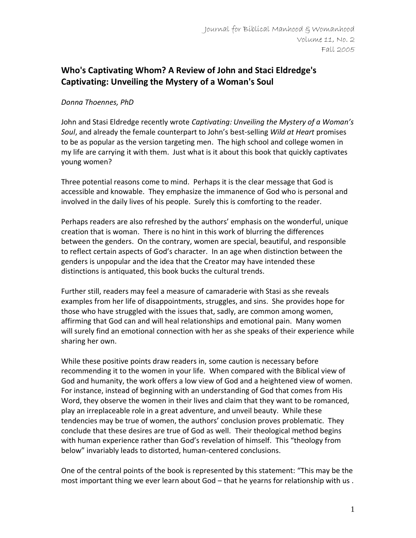## **Who's Captivating Whom? A Review of John and Staci Eldredge's Captivating: Unveiling the Mystery of a Woman's Soul**

## *Donna Thoennes, PhD*

John and Stasi Eldredge recently wrote *Captivating: Unveiling the Mystery of a Woman's Soul*, and already the female counterpart to John's best-selling *Wild at Heart* promises to be as popular as the version targeting men. The high school and college women in my life are carrying it with them. Just what is it about this book that quickly captivates young women?

Three potential reasons come to mind. Perhaps it is the clear message that God is accessible and knowable. They emphasize the immanence of God who is personal and involved in the daily lives of his people. Surely this is comforting to the reader.

Perhaps readers are also refreshed by the authors' emphasis on the wonderful, unique creation that is woman. There is no hint in this work of blurring the differences between the genders. On the contrary, women are special, beautiful, and responsible to reflect certain aspects of God's character. In an age when distinction between the genders is unpopular and the idea that the Creator may have intended these distinctions is antiquated, this book bucks the cultural trends.

Further still, readers may feel a measure of camaraderie with Stasi as she reveals examples from her life of disappointments, struggles, and sins. She provides hope for those who have struggled with the issues that, sadly, are common among women, affirming that God can and will heal relationships and emotional pain. Many women will surely find an emotional connection with her as she speaks of their experience while sharing her own.

While these positive points draw readers in, some caution is necessary before recommending it to the women in your life. When compared with the Biblical view of God and humanity, the work offers a low view of God and a heightened view of women. For instance, instead of beginning with an understanding of God that comes from His Word, they observe the women in their lives and claim that they want to be romanced, play an irreplaceable role in a great adventure, and unveil beauty. While these tendencies may be true of women, the authors' conclusion proves problematic. They conclude that these desires are true of God as well. Their theological method begins with human experience rather than God's revelation of himself. This "theology from below" invariably leads to distorted, human-centered conclusions.

One of the central points of the book is represented by this statement: "This may be the most important thing we ever learn about God – that he yearns for relationship with us .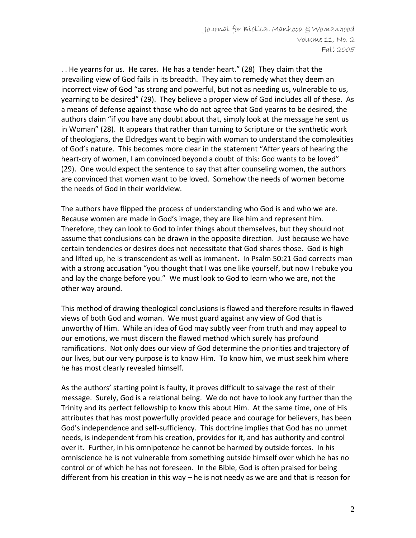. . He yearns for us. He cares. He has a tender heart." (28) They claim that the prevailing view of God fails in its breadth. They aim to remedy what they deem an incorrect view of God "as strong and powerful, but not as needing us, vulnerable to us, yearning to be desired" (29). They believe a proper view of God includes all of these. As a means of defense against those who do not agree that God yearns to be desired, the authors claim "if you have any doubt about that, simply look at the message he sent us in Woman" (28). It appears that rather than turning to Scripture or the synthetic work of theologians, the Eldredges want to begin with woman to understand the complexities of God's nature. This becomes more clear in the statement "After years of hearing the heart-cry of women, I am convinced beyond a doubt of this: God wants to be loved" (29). One would expect the sentence to say that after counseling women, the authors are convinced that women want to be loved. Somehow the needs of women become the needs of God in their worldview.

The authors have flipped the process of understanding who God is and who we are. Because women are made in God's image, they are like him and represent him. Therefore, they can look to God to infer things about themselves, but they should not assume that conclusions can be drawn in the opposite direction. Just because we have certain tendencies or desires does not necessitate that God shares those. God is high and lifted up, he is transcendent as well as immanent. In Psalm 50:21 God corrects man with a strong accusation "you thought that I was one like yourself, but now I rebuke you and lay the charge before you." We must look to God to learn who we are, not the other way around.

This method of drawing theological conclusions is flawed and therefore results in flawed views of both God and woman. We must guard against any view of God that is unworthy of Him. While an idea of God may subtly veer from truth and may appeal to our emotions, we must discern the flawed method which surely has profound ramifications. Not only does our view of God determine the priorities and trajectory of our lives, but our very purpose is to know Him. To know him, we must seek him where he has most clearly revealed himself.

As the authors' starting point is faulty, it proves difficult to salvage the rest of their message. Surely, God is a relational being. We do not have to look any further than the Trinity and its perfect fellowship to know this about Him. At the same time, one of His attributes that has most powerfully provided peace and courage for believers, has been God's independence and self-sufficiency. This doctrine implies that God has no unmet needs, is independent from his creation, provides for it, and has authority and control over it. Further, in his omnipotence he cannot be harmed by outside forces. In his omniscience he is not vulnerable from something outside himself over which he has no control or of which he has not foreseen. In the Bible, God is often praised for being different from his creation in this way – he is not needy as we are and that is reason for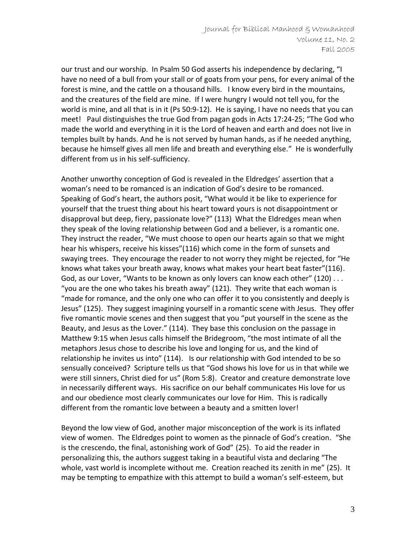our trust and our worship. In Psalm 50 God asserts his independence by declaring, "I have no need of a bull from your stall or of goats from your pens, for every animal of the forest is mine, and the cattle on a thousand hills. I know every bird in the mountains, and the creatures of the field are mine. If I were hungry I would not tell you, for the world is mine, and all that is in it (Ps 50:9-12). He is saying, I have no needs that you can meet! Paul distinguishes the true God from pagan gods in Acts 17:24-25; "The God who made the world and everything in it is the Lord of heaven and earth and does not live in temples built by hands. And he is not served by human hands, as if he needed anything, because he himself gives all men life and breath and everything else." He is wonderfully different from us in his self-sufficiency.

Another unworthy conception of God is revealed in the Eldredges' assertion that a woman's need to be romanced is an indication of God's desire to be romanced. Speaking of God's heart, the authors posit, "What would it be like to experience for yourself that the truest thing about his heart toward yours is not disappointment or disapproval but deep, fiery, passionate love?" (113) What the Eldredges mean when they speak of the loving relationship between God and a believer, is a romantic one. They instruct the reader, "We must choose to open our hearts again so that we might hear his whispers, receive his kisses"(116) which come in the form of sunsets and swaying trees. They encourage the reader to not worry they might be rejected, for "He knows what takes your breath away, knows what makes your heart beat faster"(116). God, as our Lover, "Wants to be known as only lovers can know each other" (120) . . . "you are the one who takes his breath away" (121). They write that each woman is "made for romance, and the only one who can offer it to you consistently and deeply is Jesus" (125). They suggest imagining yourself in a romantic scene with Jesus. They offer five romantic movie scenes and then suggest that you "put yourself in the scene as the Beauty, and Jesus as the Lover." (114). They base this conclusion on the passage in Matthew 9:15 when Jesus calls himself the Bridegroom, "the most intimate of all the metaphors Jesus chose to describe his love and longing for us, and the kind of relationship he invites us into" (114). Is our relationship with God intended to be so sensually conceived? Scripture tells us that "God shows his love for us in that while we were still sinners, Christ died for us" (Rom 5:8). Creator and creature demonstrate love in necessarily different ways. His sacrifice on our behalf communicates His love for us and our obedience most clearly communicates our love for Him. This is radically different from the romantic love between a beauty and a smitten lover!

Beyond the low view of God, another major misconception of the work is its inflated view of women. The Eldredges point to women as the pinnacle of God's creation. "She is the crescendo, the final, astonishing work of God" (25). To aid the reader in personalizing this, the authors suggest taking in a beautiful vista and declaring "The whole, vast world is incomplete without me. Creation reached its zenith in me" (25). It may be tempting to empathize with this attempt to build a woman's self-esteem, but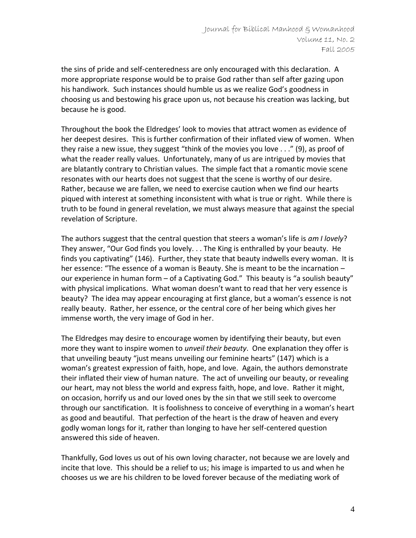the sins of pride and self-centeredness are only encouraged with this declaration. A more appropriate response would be to praise God rather than self after gazing upon his handiwork. Such instances should humble us as we realize God's goodness in choosing us and bestowing his grace upon us, not because his creation was lacking, but because he is good.

Throughout the book the Eldredges' look to movies that attract women as evidence of her deepest desires. This is further confirmation of their inflated view of women. When they raise a new issue, they suggest "think of the movies you love . . ." (9), as proof of what the reader really values. Unfortunately, many of us are intrigued by movies that are blatantly contrary to Christian values. The simple fact that a romantic movie scene resonates with our hearts does not suggest that the scene is worthy of our desire. Rather, because we are fallen, we need to exercise caution when we find our hearts piqued with interest at something inconsistent with what is true or right. While there is truth to be found in general revelation, we must always measure that against the special revelation of Scripture.

The authors suggest that the central question that steers a woman's life is *am I lovely*? They answer, "Our God finds you lovely. . . The King is enthralled by your beauty. He finds you captivating" (146). Further, they state that beauty indwells every woman. It is her essence: "The essence of a woman is Beauty. She is meant to be the incarnation – our experience in human form – of a Captivating God." This beauty is "a soulish beauty" with physical implications. What woman doesn't want to read that her very essence is beauty? The idea may appear encouraging at first glance, but a woman's essence is not really beauty. Rather, her essence, or the central core of her being which gives her immense worth, the very image of God in her.

The Eldredges may desire to encourage women by identifying their beauty, but even more they want to inspire women to *unveil their beauty*. One explanation they offer is that unveiling beauty "just means unveiling our feminine hearts" (147) which is a woman's greatest expression of faith, hope, and love. Again, the authors demonstrate their inflated their view of human nature. The act of unveiling our beauty, or revealing our heart, may not bless the world and express faith, hope, and love. Rather it might, on occasion, horrify us and our loved ones by the sin that we still seek to overcome through our sanctification. It is foolishness to conceive of everything in a woman's heart as good and beautiful. That perfection of the heart is the draw of heaven and every godly woman longs for it, rather than longing to have her self-centered question answered this side of heaven.

Thankfully, God loves us out of his own loving character, not because we are lovely and incite that love. This should be a relief to us; his image is imparted to us and when he chooses us we are his children to be loved forever because of the mediating work of